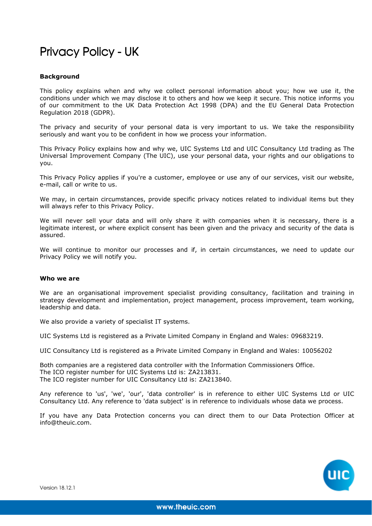# Privacy Policy - UK

# **Background**

This policy explains when and why we collect personal information about you; how we use it, the conditions under which we may disclose it to others and how we keep it secure. This notice informs you of our commitment to the UK Data Protection Act 1998 (DPA) and the EU General Data Protection Regulation 2018 (GDPR).

The privacy and security of your personal data is very important to us. We take the responsibility seriously and want you to be confident in how we process your information.

This Privacy Policy explains how and why we, UIC Systems Ltd and UIC Consultancy Ltd trading as The Universal Improvement Company (The UIC), use your personal data, your rights and our obligations to you.

This Privacy Policy applies if you're a customer, employee or use any of our services, visit our website, e-mail, call or write to us.

We may, in certain circumstances, provide specific privacy notices related to individual items but they will always refer to this Privacy Policy.

We will never sell your data and will only share it with companies when it is necessary, there is a legitimate interest, or where explicit consent has been given and the privacy and security of the data is assured.

We will continue to monitor our processes and if, in certain circumstances, we need to update our Privacy Policy we will notify you.

#### **Who we are**

We are an organisational improvement specialist providing consultancy, facilitation and training in strategy development and implementation, project management, process improvement, team working, leadership and data.

We also provide a variety of specialist IT systems.

UIC Systems Ltd is registered as a Private Limited Company in England and Wales: 09683219.

UIC Consultancy Ltd is registered as a Private Limited Company in England and Wales: 10056202

Both companies are a registered data controller with the Information Commissioners Office. The ICO register number for UIC Systems Ltd is: ZA213831. The ICO register number for UIC Consultancy Ltd is: ZA213840.

Any reference to 'us', 'we', 'our', 'data controller' is in reference to either UIC Systems Ltd or UIC Consultancy Ltd. Any reference to 'data subject' is in reference to individuals whose data we process.

If you have any Data Protection concerns you can direct them to our Data Protection Officer at info@theuic.com.

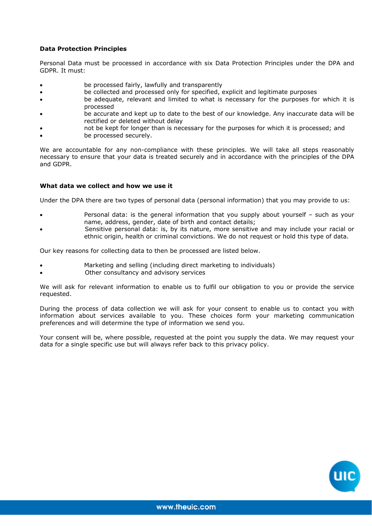# **Data Protection Principles**

Personal Data must be processed in accordance with six Data Protection Principles under the DPA and GDPR. It must:

- be processed fairly, lawfully and transparently
- be collected and processed only for specified, explicit and legitimate purposes
- be adequate, relevant and limited to what is necessary for the purposes for which it is processed
- be accurate and kept up to date to the best of our knowledge. Any inaccurate data will be rectified or deleted without delay
- not be kept for longer than is necessary for the purposes for which it is processed; and
- be processed securely.

We are accountable for any non-compliance with these principles. We will take all steps reasonably necessary to ensure that your data is treated securely and in accordance with the principles of the DPA and GDPR.

# **What data we collect and how we use it**

Under the DPA there are two types of personal data (personal information) that you may provide to us:

- Personal data: is the general information that you supply about yourself such as your name, address, gender, date of birth and contact details;
- Sensitive personal data: is, by its nature, more sensitive and may include your racial or ethnic origin, health or criminal convictions. We do not request or hold this type of data.

Our key reasons for collecting data to then be processed are listed below.

- Marketing and selling (including direct marketing to individuals)
- Other consultancy and advisory services

We will ask for relevant information to enable us to fulfil our obligation to you or provide the service requested.

During the process of data collection we will ask for your consent to enable us to contact you with information about services available to you. These choices form your marketing communication preferences and will determine the type of information we send you.

Your consent will be, where possible, requested at the point you supply the data. We may request your data for a single specific use but will always refer back to this privacy policy.

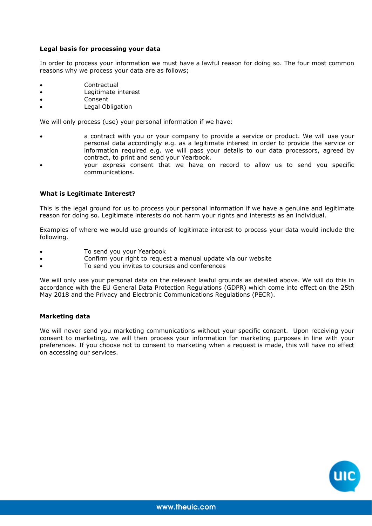# **Legal basis for processing your data**

In order to process your information we must have a lawful reason for doing so. The four most common reasons why we process your data are as follows;

- **Contractual**
- Legitimate interest
- Consent
- Legal Obligation

We will only process (use) your personal information if we have:

- a contract with you or your company to provide a service or product. We will use your personal data accordingly e.g. as a legitimate interest in order to provide the service or information required e.g. we will pass your details to our data processors, agreed by contract, to print and send your Yearbook.
- your express consent that we have on record to allow us to send you specific communications.

#### **What is Legitimate Interest?**

This is the legal ground for us to process your personal information if we have a genuine and legitimate reason for doing so. Legitimate interests do not harm your rights and interests as an individual.

Examples of where we would use grounds of legitimate interest to process your data would include the following.

- To send you your Yearbook
- Confirm your right to request a manual update via our website
- To send you invites to courses and conferences

We will only use your personal data on the relevant lawful grounds as detailed above. We will do this in accordance with the EU General Data Protection Regulations (GDPR) which come into effect on the 25th May 2018 and the Privacy and Electronic Communications Regulations (PECR).

#### **Marketing data**

We will never send you marketing communications without your specific consent. Upon receiving your consent to marketing, we will then process your information for marketing purposes in line with your preferences. If you choose not to consent to marketing when a request is made, this will have no effect on accessing our services.

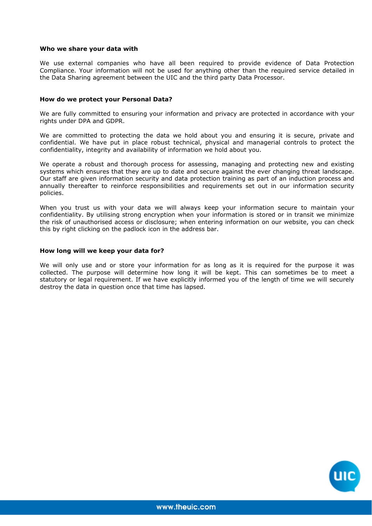#### **Who we share your data with**

We use external companies who have all been required to provide evidence of Data Protection Compliance. Your information will not be used for anything other than the required service detailed in the Data Sharing agreement between the UIC and the third party Data Processor.

#### **How do we protect your Personal Data?**

We are fully committed to ensuring your information and privacy are protected in accordance with your rights under DPA and GDPR.

We are committed to protecting the data we hold about you and ensuring it is secure, private and confidential. We have put in place robust technical, physical and managerial controls to protect the confidentiality, integrity and availability of information we hold about you.

We operate a robust and thorough process for assessing, managing and protecting new and existing systems which ensures that they are up to date and secure against the ever changing threat landscape. Our staff are given information security and data protection training as part of an induction process and annually thereafter to reinforce responsibilities and requirements set out in our information security policies.

When you trust us with your data we will always keep your information secure to maintain your confidentiality. By utilising strong encryption when your information is stored or in transit we minimize the risk of unauthorised access or disclosure; when entering information on our website, you can check this by right clicking on the padlock icon in the address bar.

#### **How long will we keep your data for?**

We will only use and or store your information for as long as it is required for the purpose it was collected. The purpose will determine how long it will be kept. This can sometimes be to meet a statutory or legal requirement. If we have explicitly informed you of the length of time we will securely destroy the data in question once that time has lapsed.

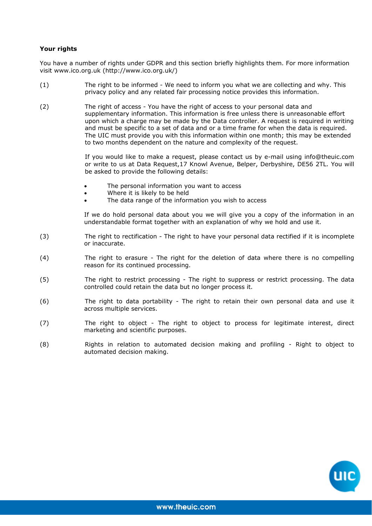# **Your rights**

You have a number of rights under GDPR and this section briefly highlights them. For more information visit www.ico.org.uk (http://www.ico.org.uk/)

- (1) The right to be informed We need to inform you what we are collecting and why. This privacy policy and any related fair processing notice provides this information.
- (2) The right of access You have the right of access to your personal data and supplementary information. This information is free unless there is unreasonable effort upon which a charge may be made by the Data controller. A request is required in writing and must be specific to a set of data and or a time frame for when the data is required. The UIC must provide you with this information within one month; this may be extended to two months dependent on the nature and complexity of the request.

If you would like to make a request, please contact us by e-mail using info@theuic.com or write to us at Data Request,17 Knowl Avenue, Belper, Derbyshire, DE56 2TL. You will be asked to provide the following details:

- The personal information you want to access
- Where it is likely to be held
- The data range of the information you wish to access

If we do hold personal data about you we will give you a copy of the information in an understandable format together with an explanation of why we hold and use it.

- (3) The right to rectification The right to have your personal data rectified if it is incomplete or inaccurate.
- (4) The right to erasure The right for the deletion of data where there is no compelling reason for its continued processing.
- (5) The right to restrict processing The right to suppress or restrict processing. The data controlled could retain the data but no longer process it.
- (6) The right to data portability The right to retain their own personal data and use it across multiple services.
- (7) The right to object The right to object to process for legitimate interest, direct marketing and scientific purposes.
- (8) Rights in relation to automated decision making and profiling Right to object to automated decision making.